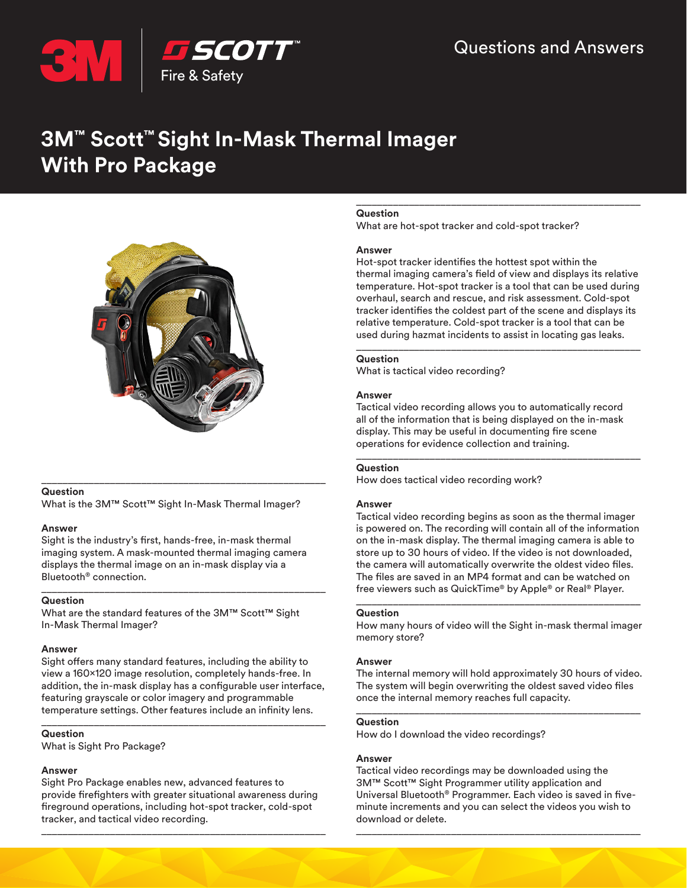

# **3M™ Scott™ Sight In-Mask Thermal Imager With Pro Package**



# **Question**

What is the 3M™ Scott™ Sight In-Mask Thermal Imager?

\_\_\_\_\_\_\_\_\_\_\_\_\_\_\_\_\_\_\_\_\_\_\_\_\_\_\_\_\_\_\_\_\_\_\_\_\_\_\_\_\_\_\_\_\_\_\_\_\_\_\_\_\_\_

# **Answer**

Sight is the industry's first, hands-free, in-mask thermal imaging system. A mask-mounted thermal imaging camera displays the thermal image on an in-mask display via a Bluetooth® connection.

\_\_\_\_\_\_\_\_\_\_\_\_\_\_\_\_\_\_\_\_\_\_\_\_\_\_\_\_\_\_\_\_\_\_\_\_\_\_\_\_\_\_\_\_\_\_\_\_\_\_\_\_\_\_

# **Question**

What are the standard features of the 3M™ Scott™ Sight In-Mask Thermal Imager?

# **Answer**

Sight offers many standard features, including the ability to view a 160x120 image resolution, completely hands-free. In addition, the in-mask display has a configurable user interface, featuring grayscale or color imagery and programmable temperature settings. Other features include an infinity lens.

\_\_\_\_\_\_\_\_\_\_\_\_\_\_\_\_\_\_\_\_\_\_\_\_\_\_\_\_\_\_\_\_\_\_\_\_\_\_\_\_\_\_\_\_\_\_\_\_\_\_\_\_\_\_

# **Question**

What is Sight Pro Package?

# **Answer**

Sight Pro Package enables new, advanced features to provide firefighters with greater situational awareness during fireground operations, including hot-spot tracker, cold-spot tracker, and tactical video recording.

\_\_\_\_\_\_\_\_\_\_\_\_\_\_\_\_\_\_\_\_\_\_\_\_\_\_\_\_\_\_\_\_\_\_\_\_\_\_\_\_\_\_\_\_\_\_\_\_\_\_\_\_\_\_

# **Question**

What are hot-spot tracker and cold-spot tracker?

# **Answer**

Hot-spot tracker identifies the hottest spot within the thermal imaging camera's field of view and displays its relative temperature. Hot-spot tracker is a tool that can be used during overhaul, search and rescue, and risk assessment. Cold-spot tracker identifies the coldest part of the scene and displays its relative temperature. Cold-spot tracker is a tool that can be used during hazmat incidents to assist in locating gas leaks.

\_\_\_\_\_\_\_\_\_\_\_\_\_\_\_\_\_\_\_\_\_\_\_\_\_\_\_\_\_\_\_\_\_\_\_\_\_\_\_\_\_\_\_\_\_\_\_\_\_\_\_\_\_\_

## \_\_\_\_\_\_\_\_\_\_\_\_\_\_\_\_\_\_\_\_\_\_\_\_\_\_\_\_\_\_\_\_\_\_\_\_\_\_\_\_\_\_\_\_\_\_\_\_\_\_\_\_\_\_ **Question**

What is tactical video recording?

# **Answer**

Tactical video recording allows you to automatically record all of the information that is being displayed on the in-mask display. This may be useful in documenting fire scene operations for evidence collection and training.

\_\_\_\_\_\_\_\_\_\_\_\_\_\_\_\_\_\_\_\_\_\_\_\_\_\_\_\_\_\_\_\_\_\_\_\_\_\_\_\_\_\_\_\_\_\_\_\_\_\_\_\_\_\_

# **Question**

How does tactical video recording work?

# **Answer**

Tactical video recording begins as soon as the thermal imager is powered on. The recording will contain all of the information on the in-mask display. The thermal imaging camera is able to store up to 30 hours of video. If the video is not downloaded, the camera will automatically overwrite the oldest video files. The files are saved in an MP4 format and can be watched on free viewers such as QuickTime® by Apple® or Real® Player.

# **Question**

How many hours of video will the Sight in-mask thermal imager memory store?

\_\_\_\_\_\_\_\_\_\_\_\_\_\_\_\_\_\_\_\_\_\_\_\_\_\_\_\_\_\_\_\_\_\_\_\_\_\_\_\_\_\_\_\_\_\_\_\_\_\_\_\_\_\_

# **Answer**

The internal memory will hold approximately 30 hours of video. The system will begin overwriting the oldest saved video files once the internal memory reaches full capacity.

\_\_\_\_\_\_\_\_\_\_\_\_\_\_\_\_\_\_\_\_\_\_\_\_\_\_\_\_\_\_\_\_\_\_\_\_\_\_\_\_\_\_\_\_\_\_\_\_\_\_\_\_\_\_

# **Question**

How do I download the video recordings?

# **Answer**

Tactical video recordings may be downloaded using the 3M™ Scott™ Sight Programmer utility application and Universal Bluetooth® Programmer. Each video is saved in fiveminute increments and you can select the videos you wish to download or delete.

\_\_\_\_\_\_\_\_\_\_\_\_\_\_\_\_\_\_\_\_\_\_\_\_\_\_\_\_\_\_\_\_\_\_\_\_\_\_\_\_\_\_\_\_\_\_\_\_\_\_\_\_\_\_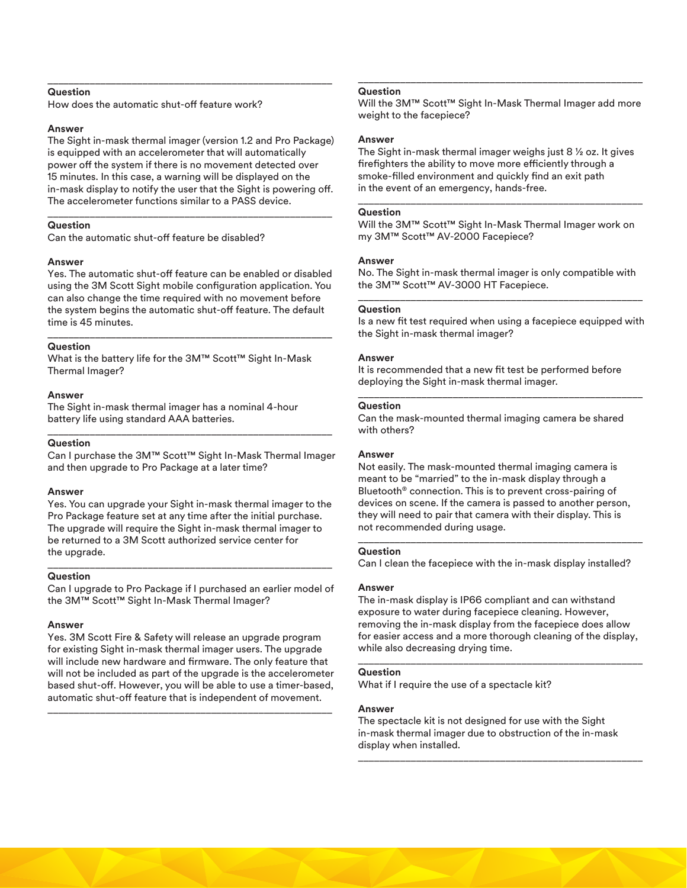# **Question**

How does the automatic shut-off feature work?

## **Answer**

The Sight in-mask thermal imager (version 1.2 and Pro Package) is equipped with an accelerometer that will automatically power off the system if there is no movement detected over 15 minutes. In this case, a warning will be displayed on the in-mask display to notify the user that the Sight is powering off. The accelerometer functions similar to a PASS device.

\_\_\_\_\_\_\_\_\_\_\_\_\_\_\_\_\_\_\_\_\_\_\_\_\_\_\_\_\_\_\_\_\_\_\_\_\_\_\_\_\_\_\_\_\_\_\_\_\_\_\_\_\_\_

\_\_\_\_\_\_\_\_\_\_\_\_\_\_\_\_\_\_\_\_\_\_\_\_\_\_\_\_\_\_\_\_\_\_\_\_\_\_\_\_\_\_\_\_\_\_\_\_\_\_\_\_\_\_

# **Question**

Can the automatic shut-off feature be disabled?

## **Answer**

Yes. The automatic shut-off feature can be enabled or disabled using the 3M Scott Sight mobile configuration application. You can also change the time required with no movement before the system begins the automatic shut-off feature. The default time is 45 minutes.

\_\_\_\_\_\_\_\_\_\_\_\_\_\_\_\_\_\_\_\_\_\_\_\_\_\_\_\_\_\_\_\_\_\_\_\_\_\_\_\_\_\_\_\_\_\_\_\_\_\_\_\_\_\_

## **Question**

What is the battery life for the 3M™ Scott™ Sight In-Mask Thermal Imager?

## **Answer**

The Sight in-mask thermal imager has a nominal 4-hour battery life using standard AAA batteries.

#### **Question**

Can I purchase the 3M™ Scott™ Sight In-Mask Thermal Imager and then upgrade to Pro Package at a later time?

\_\_\_\_\_\_\_\_\_\_\_\_\_\_\_\_\_\_\_\_\_\_\_\_\_\_\_\_\_\_\_\_\_\_\_\_\_\_\_\_\_\_\_\_\_\_\_\_\_\_\_\_\_\_

## **Answer**

Yes. You can upgrade your Sight in-mask thermal imager to the Pro Package feature set at any time after the initial purchase. The upgrade will require the Sight in-mask thermal imager to be returned to a 3M Scott authorized service center for the upgrade.

#### **Question**

Can I upgrade to Pro Package if I purchased an earlier model of the 3M™ Scott™ Sight In-Mask Thermal Imager?

\_\_\_\_\_\_\_\_\_\_\_\_\_\_\_\_\_\_\_\_\_\_\_\_\_\_\_\_\_\_\_\_\_\_\_\_\_\_\_\_\_\_\_\_\_\_\_\_\_\_\_\_\_\_

## **Answer**

Yes. 3M Scott Fire & Safety will release an upgrade program for existing Sight in-mask thermal imager users. The upgrade will include new hardware and firmware. The only feature that will not be included as part of the upgrade is the accelerometer based shut-off. However, you will be able to use a timer-based, automatic shut-off feature that is independent of movement.

\_\_\_\_\_\_\_\_\_\_\_\_\_\_\_\_\_\_\_\_\_\_\_\_\_\_\_\_\_\_\_\_\_\_\_\_\_\_\_\_\_\_\_\_\_\_\_\_\_\_\_\_\_\_

# **Question**

Will the 3M™ Scott™ Sight In-Mask Thermal Imager add more weight to the facepiece?

\_\_\_\_\_\_\_\_\_\_\_\_\_\_\_\_\_\_\_\_\_\_\_\_\_\_\_\_\_\_\_\_\_\_\_\_\_\_\_\_\_\_\_\_\_\_\_\_\_\_\_\_\_\_

## **Answer**

The Sight in-mask thermal imager weighs just 8 ½ oz. It gives firefighters the ability to move more efficiently through a smoke-filled environment and quickly find an exit path in the event of an emergency, hands-free.

\_\_\_\_\_\_\_\_\_\_\_\_\_\_\_\_\_\_\_\_\_\_\_\_\_\_\_\_\_\_\_\_\_\_\_\_\_\_\_\_\_\_\_\_\_\_\_\_\_\_\_\_\_\_

#### **Question**

Will the 3M™ Scott™ Sight In-Mask Thermal Imager work on my 3M™ Scott™ AV-2000 Facepiece?

## **Answer**

No. The Sight in-mask thermal imager is only compatible with the 3M™ Scott™ AV-3000 HT Facepiece. \_\_\_\_\_\_\_\_\_\_\_\_\_\_\_\_\_\_\_\_\_\_\_\_\_\_\_\_\_\_\_\_\_\_\_\_\_\_\_\_\_\_\_\_\_\_\_\_\_\_\_\_\_\_

### **Question**

Is a new fit test required when using a facepiece equipped with the Sight in-mask thermal imager?

## **Answer**

It is recommended that a new fit test be performed before deploying the Sight in-mask thermal imager.

\_\_\_\_\_\_\_\_\_\_\_\_\_\_\_\_\_\_\_\_\_\_\_\_\_\_\_\_\_\_\_\_\_\_\_\_\_\_\_\_\_\_\_\_\_\_\_\_\_\_\_\_\_\_

## **Question**

Can the mask-mounted thermal imaging camera be shared with others?

### **Answer**

Not easily. The mask-mounted thermal imaging camera is meant to be "married" to the in-mask display through a Bluetooth® connection. This is to prevent cross-pairing of devices on scene. If the camera is passed to another person, they will need to pair that camera with their display. This is not recommended during usage.

#### **Question**

Can I clean the facepiece with the in-mask display installed?

\_\_\_\_\_\_\_\_\_\_\_\_\_\_\_\_\_\_\_\_\_\_\_\_\_\_\_\_\_\_\_\_\_\_\_\_\_\_\_\_\_\_\_\_\_\_\_\_\_\_\_\_\_\_

#### **Answer**

The in-mask display is IP66 compliant and can withstand exposure to water during facepiece cleaning. However, removing the in-mask display from the facepiece does allow for easier access and a more thorough cleaning of the display, while also decreasing drying time.

\_\_\_\_\_\_\_\_\_\_\_\_\_\_\_\_\_\_\_\_\_\_\_\_\_\_\_\_\_\_\_\_\_\_\_\_\_\_\_\_\_\_\_\_\_\_\_\_\_\_\_\_\_\_

## **Question**

What if I require the use of a spectacle kit?

## **Answer**

The spectacle kit is not designed for use with the Sight in-mask thermal imager due to obstruction of the in-mask display when installed.

\_\_\_\_\_\_\_\_\_\_\_\_\_\_\_\_\_\_\_\_\_\_\_\_\_\_\_\_\_\_\_\_\_\_\_\_\_\_\_\_\_\_\_\_\_\_\_\_\_\_\_\_\_\_